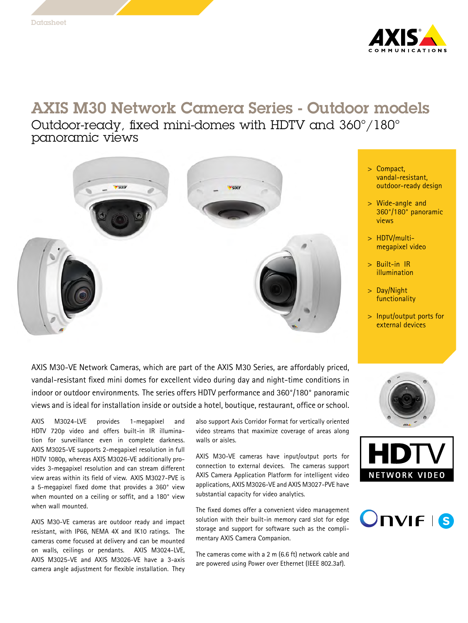

## AXIS M30 Network Camera Series - Outdoor models

Outdoor-ready, fixed mini-domes with HDTV and 360°/180° panoramic views



AXIS M30-VE Network Cameras, which are part of the AXIS M30 Series, are affordably priced, vandal-resistant fixed mini domes for excellent video during day and night-time conditions in indoor or outdoor environments. The series offers HDTV performance and 360°/180° panoramic views and is ideal for installation inside or outside <sup>a</sup> hotel, boutique, restaurant, office or school.

AXIS M3024-LVE provides 1-megapixel and HDTV 720p video and offers built-in IR illumination for surveillance even in complete darkness. AXIS M3025-VE supports 2-megapixel resolution in full HDTV 1080p, whereas AXIS M3026-VE additionally provides 3-megapixel resolution and can stream different view areas within its field of view. AXIS M3027-PVE is <sup>a</sup> 5-megapixel fixed dome that provides <sup>a</sup> 360° view when mounted on <sup>a</sup> ceiling or soffit, and <sup>a</sup> 180° view when wall mounted.

AXIS M30-VE cameras are outdoor ready and impact resistant, with IP66, NEMA 4X and IK10 ratings. The cameras come focused at delivery and can be mounted on walls, ceilings or pendants. AXIS M3024-LVE, AXIS M3025-VE and AXIS M3026-VE have <sup>a</sup> 3-axis camera angle adjustment for flexible installation. They

also support Axis Corridor Format for vertically oriented video streams that maximize coverage of areas along walls or aisles.

AXIS M30-VE cameras have input/output ports for connection to external devices. The cameras support AXIS Camera Application Platform for intelligent video applications, AXIS M3026-VE and AXIS M3027-PVE have substantial capacity for video analytics.

The fixed domes offer <sup>a</sup> convenient video management solution with their built-in memory card slot for edge storage and support for software such as the complimentary AXIS Camera Companion.

The cameras come with <sup>a</sup> <sup>2</sup> <sup>m</sup> (6.6 ft) network cable and are powered using Power over Ethernet (IEEE 802.3af).

- <sup>&</sup>gt; Compact, vandal-resistant, outdoor-ready design
- <sup>&</sup>gt; Wide-angle and 360°/180° panoramic views
- <sup>&</sup>gt; HDTV/multimegapixel video
- <sup>&</sup>gt; Built-in IR illumination
- <sup>&</sup>gt; Day/Night functionality
- <sup>&</sup>gt; Input/output ports for external devices





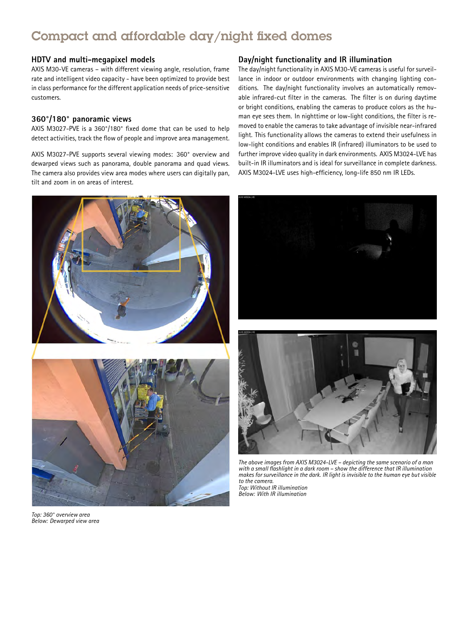## Compact and affordable day/night fixed domes

#### **HDTV and multi-megapixel models**

AXIS M30-VE cameras – with different viewing angle, resolution, frame rate and intelligent video capacity - have been optimized to provide best in class performance for the different application needs of price-sensitive customers.

#### **360°/180° panoramic views**

AXIS M3027-PVE is <sup>a</sup> 360°/180° fixed dome that can be used to help detect activities, track the flow of people and improve area management.

AXIS M3027-PVE supports several viewing modes: 360° overview and dewarped views such as panorama, double panorama and quad views. The camera also provides view area modes where users can digitally pan, tilt and zoom in on areas of interest.



*Top: 360° overview area Below: Dewarped view area*

#### **Day/night functionality and IR illumination**

The day/night functionality in AXIS M30-VE cameras is useful for surveillance in indoor or outdoor environments with changing lighting conditions. The day/night functionality involves an automatically removable infrared-cut filter in the cameras. The filter is on during daytime or bright conditions, enabling the cameras to produce colors as the human eye sees them. In nighttime or low-light conditions, the filter is removed to enable the cameras to take advantage of invisible near-infrared light. This functionality allows the cameras to extend their usefulness in low-light conditions and enables IR (infrared) illuminators to be used to further improve video quality in dark environments. AXIS M3024-LVE has built-in IR illuminators and is ideal for surveillance in complete darkness. AXIS M3024-LVE uses high-efficiency, long-life <sup>850</sup> nm IR LEDs.





The above images from AXIS M3024-LVE - depicting the same scenario of a man with a small flashlight in a dark room - show the difference that IR illumination makes for surveillance in the dark. IR light is invisible to the human eye but visible *to the camera. Top: Without IR illumination*

*Below: With IR illumination*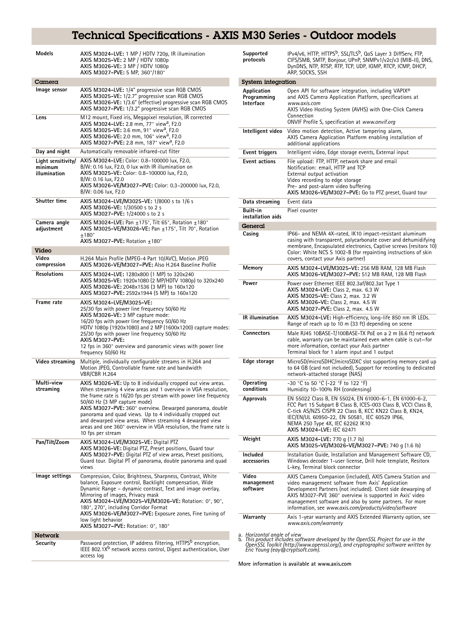# Technical Specifications - AXIS M30 Series - Outdoor models

| Models                                        | AXIS M3024-LVE: 1 MP / HDTV 720p, IR illumination<br>AXIS M3025-VE: 2 MP / HDTV 1080p<br>AXIS M3026-VE: 3 MP / HDTV 1080p<br>AXIS M3027-PVE: 5 MP, 360°/180°                                                                                                                                                                                                                                                                                                                                                  |
|-----------------------------------------------|---------------------------------------------------------------------------------------------------------------------------------------------------------------------------------------------------------------------------------------------------------------------------------------------------------------------------------------------------------------------------------------------------------------------------------------------------------------------------------------------------------------|
| Camera                                        |                                                                                                                                                                                                                                                                                                                                                                                                                                                                                                               |
| Image sensor                                  | AXIS M3024-LVE: 1/4" progressive scan RGB CMOS<br>AXIS M3025-VE: 1/2.7" progressive scan RGB CMOS<br>AXIS M3026-VE: 1/3.6" (effective) progressive scan RGB CMOS<br>AXIS M3027-PVE: 1/3.2" progressive scan RGB CMOS                                                                                                                                                                                                                                                                                          |
| Lens                                          | M12 mount, Fixed iris, Megapixel resolution, IR corrected<br>AXIS M3024-LVE: 2.8 mm, 77° view <sup>a</sup> , F2.0<br>AXIS M3025-VE: 3.6 mm, 91° view <sup>a</sup> , F2.0<br>AXIS M3026-VE: 2.0 mm, 106° view <sup>a</sup> , F2.0<br>AXIS M3027-PVE: 2.8 mm, 187° view <sup>a</sup> , F2.0                                                                                                                                                                                                                     |
| Day and night                                 | Automatically removable infrared-cut filter                                                                                                                                                                                                                                                                                                                                                                                                                                                                   |
| Light sensitivity/<br>minimum<br>illumination | AXIS M3024-LVE: Color: 0.8-100000 lux, F2.0,<br>B/W: 0.16 lux, F2.0, 0 lux with IR illumination on<br>AXIS M3025-VE: Color: 0.8-100000 lux, F2.0,<br>B/W: 0.16 lux, F2.0<br>AXIS M3026-VE/M3027-PVE: Color: 0.3-200000 lux, F2.0,<br>B/W: 0.06 lux, F2.0                                                                                                                                                                                                                                                      |
| <b>Shutter time</b>                           | AXIS M3024-LVE/M3025-VE: 1/8000 s to 1/6 s<br>AXIS M3026-VE: 1/30500 s to 2 s<br>AXIS M3027-PVE: 1/24000 s to 2 s                                                                                                                                                                                                                                                                                                                                                                                             |
| Camera angle<br>adjustment                    | AXIS M3024-LVE: Pan +175°, Tilt 65°, Rotation +180°<br>AXIS M3025-VE/M3026-VE: Pan +175°, Tilt 70°, Rotation<br>$+180^\circ$<br>AXIS M3027-PVE: Rotation +180°                                                                                                                                                                                                                                                                                                                                                |
| Video                                         |                                                                                                                                                                                                                                                                                                                                                                                                                                                                                                               |
| Video                                         | H.264 Main Profile (MPEG-4 Part 10/AVC), Motion JPEG                                                                                                                                                                                                                                                                                                                                                                                                                                                          |
| compression                                   | AXIS M3026-VE/M3027-PVE: Also H.264 Baseline Profile                                                                                                                                                                                                                                                                                                                                                                                                                                                          |
| <b>Resolutions</b>                            | AXIS M3024-LVE: 1280x800 (1 MP) to 320x240<br>AXIS M3025-VE: 1920x1080 (2 MP/HDTV 1080p) to 320x240<br>AXIS M3026-VE: 2048x1536 (3 MP) to 160x120<br>AXIS M3027-PVE: 2592x1944 (5 MP) to 160x120                                                                                                                                                                                                                                                                                                              |
| Frame rate                                    | AXIS M3024-LVE/M3025-VE:<br>25/30 fps with power line frequency 50/60 Hz<br>AXIS M3026-VE: 3 MP capture mode:<br>16/20 fps with power line frequency 50/60 Hz<br>HDTV 1080p (1920x1080) and 2 MP (1600x1200) capture modes:<br>25/30 fps with power line frequency 50/60 Hz<br>AXIS M3027-PVE:<br>12 fps in 360° overview and panoramic views with power line<br>frequency 50/60 Hz                                                                                                                           |
| Video streaming                               | Multiple, individually configurable streams in H.264 and<br>Motion JPEG, Controllable frame rate and bandwidth<br>VBR/CBR H.264                                                                                                                                                                                                                                                                                                                                                                               |
| Multi-view<br>streaming                       | AXIS M3026-VE: Up to 8 individually cropped out view areas.<br>When streaming 4 view areas and 1 overview in VGA resolution,<br>the frame rate is 16/20 fps per stream with power line frequency<br>50/60 Hz (3 MP capture mode)<br>AXIS M3027-PVE: 360° overview. Dewarped panorama, double<br>panorama and quad views. Up to 4 individually cropped out<br>and dewarped view areas. When streaming 4 dewarped view<br>areas and one 360° overview in VGA resolution, the frame rate is<br>10 fps per stream |
| Pan/Tilt/Zoom                                 | AXIS M3024-LVE/M3025-VE: Digital PTZ<br>AXIS M3026-VE: Digital PTZ, Preset positions, Guard tour<br>AXIS M3027-PVE: Digital PTZ of view areas, Preset positions,<br>Guard tour. Digital PT of panorama, double panorama and quad<br>views                                                                                                                                                                                                                                                                     |
| Image settings                                | Compression, Color, Brightness, Sharpness, Contrast, White<br>balance, Exposure control, Backlight compensation, Wide<br>Dynamic Range – dynamic contrast, Text and image overlay,<br>Mirroring of images, Privacy mask<br>AXIS M3024-LVE/M3025-VE/M3026-VE: Rotation: 0°, 90°,<br>180°, 270°, including Corridor Format<br>AXIS M3026-VE/M3027-PVE: Exposure zones, Fine tuning of<br>low light behavior<br>AXIS M3027-PVE: Rotation: 0°, 180°                                                               |
| Network                                       |                                                                                                                                                                                                                                                                                                                                                                                                                                                                                                               |
| Security                                      | Password protection, IP address filtering, HTTPS <sup>b</sup> encryption,<br>IEEE 802.1X <sup>b</sup> network access control, Digest authentication, User<br>access log                                                                                                                                                                                                                                                                                                                                       |

| System integration<br>Application<br>Open API for software integration, including VAPIX <sup>®</sup><br>and AXIS Camera Application Platform, specifications at<br>Programming<br><b>Interface</b><br>www.axis.com<br>AXIS Video Hosting System (AVHS) with One-Click Camera<br>Connection<br>ONVIF Profile S, specification at www.onvif.org<br>Intelligent video<br>Video motion detection. Active tampering alarm.<br>AXIS Camera Application Platform enabling installation of<br>additional applications<br>Intelligent video, Edge storage events, External input<br>Event triggers<br>File upload: FTP, HTTP, network share and email<br><b>Event actions</b><br>Notification: email, HTTP and TCP<br>External output activation<br>Video recording to edge storage<br>Pre- and post-alarm video buffering<br>AXIS M3026-VE/M3027-PVE: Go to PTZ preset, Guard tour<br>Event data<br>Data streaming<br>Built-in<br>Pixel counter<br>installation aids<br>General<br>IP66- and NEMA 4X-rated, IK10 impact-resistant aluminum<br>Casing<br>casing with transparent, polycarbonate cover and dehumidifying<br>membrane, Encapsulated electronics, Captive screws (resitorx 10)<br>Color: White NCS S 1002-B (for repainting instructions of skin<br>covers, contact your Axis partner)<br>Memory<br>AXIS M3024-LVE/M3025-VE: 256 MB RAM, 128 MB Flash<br>AXIS M3026-VE/M3027-PVE: 512 MB RAM, 128 MB Flash<br>Power<br>Power over Ethernet IEEE 802.3af/802.3at Type 1<br>AXIS M3024-LVE: Class 2, max. 6.3 W<br>AXIS M3025-VE: Class 2, max. 3.2 W<br>AXIS M3026-VE: Class 2, max. 4.5 W<br>AXIS M3027-PVE: Class 2, max. 4.5 W<br><b>IR</b> illumination<br>AXIS M3024-LVE: High-efficiency, long-life 850 nm IR LEDs.<br>Range of reach up to 10 m (33 ft) depending on scene<br><b>Connectors</b><br>Male RJ45 10BASE-T/100BASE-TX PoE on a 2 m (6.6 ft) network<br>cable, warranty can be maintained even when cable is cut-for<br>more information, contact your Axis partner<br>Terminal block for 1 alarm input and 1 output<br>Edge storage<br>MicroSD/microSDHC/microSDXC slot supporting memory card up |  |
|------------------------------------------------------------------------------------------------------------------------------------------------------------------------------------------------------------------------------------------------------------------------------------------------------------------------------------------------------------------------------------------------------------------------------------------------------------------------------------------------------------------------------------------------------------------------------------------------------------------------------------------------------------------------------------------------------------------------------------------------------------------------------------------------------------------------------------------------------------------------------------------------------------------------------------------------------------------------------------------------------------------------------------------------------------------------------------------------------------------------------------------------------------------------------------------------------------------------------------------------------------------------------------------------------------------------------------------------------------------------------------------------------------------------------------------------------------------------------------------------------------------------------------------------------------------------------------------------------------------------------------------------------------------------------------------------------------------------------------------------------------------------------------------------------------------------------------------------------------------------------------------------------------------------------------------------------------------------------------------------------------------------------------------------------------------------------------------------------------------------|--|
|                                                                                                                                                                                                                                                                                                                                                                                                                                                                                                                                                                                                                                                                                                                                                                                                                                                                                                                                                                                                                                                                                                                                                                                                                                                                                                                                                                                                                                                                                                                                                                                                                                                                                                                                                                                                                                                                                                                                                                                                                                                                                                                        |  |
|                                                                                                                                                                                                                                                                                                                                                                                                                                                                                                                                                                                                                                                                                                                                                                                                                                                                                                                                                                                                                                                                                                                                                                                                                                                                                                                                                                                                                                                                                                                                                                                                                                                                                                                                                                                                                                                                                                                                                                                                                                                                                                                        |  |
|                                                                                                                                                                                                                                                                                                                                                                                                                                                                                                                                                                                                                                                                                                                                                                                                                                                                                                                                                                                                                                                                                                                                                                                                                                                                                                                                                                                                                                                                                                                                                                                                                                                                                                                                                                                                                                                                                                                                                                                                                                                                                                                        |  |
|                                                                                                                                                                                                                                                                                                                                                                                                                                                                                                                                                                                                                                                                                                                                                                                                                                                                                                                                                                                                                                                                                                                                                                                                                                                                                                                                                                                                                                                                                                                                                                                                                                                                                                                                                                                                                                                                                                                                                                                                                                                                                                                        |  |
|                                                                                                                                                                                                                                                                                                                                                                                                                                                                                                                                                                                                                                                                                                                                                                                                                                                                                                                                                                                                                                                                                                                                                                                                                                                                                                                                                                                                                                                                                                                                                                                                                                                                                                                                                                                                                                                                                                                                                                                                                                                                                                                        |  |
|                                                                                                                                                                                                                                                                                                                                                                                                                                                                                                                                                                                                                                                                                                                                                                                                                                                                                                                                                                                                                                                                                                                                                                                                                                                                                                                                                                                                                                                                                                                                                                                                                                                                                                                                                                                                                                                                                                                                                                                                                                                                                                                        |  |
|                                                                                                                                                                                                                                                                                                                                                                                                                                                                                                                                                                                                                                                                                                                                                                                                                                                                                                                                                                                                                                                                                                                                                                                                                                                                                                                                                                                                                                                                                                                                                                                                                                                                                                                                                                                                                                                                                                                                                                                                                                                                                                                        |  |
|                                                                                                                                                                                                                                                                                                                                                                                                                                                                                                                                                                                                                                                                                                                                                                                                                                                                                                                                                                                                                                                                                                                                                                                                                                                                                                                                                                                                                                                                                                                                                                                                                                                                                                                                                                                                                                                                                                                                                                                                                                                                                                                        |  |
|                                                                                                                                                                                                                                                                                                                                                                                                                                                                                                                                                                                                                                                                                                                                                                                                                                                                                                                                                                                                                                                                                                                                                                                                                                                                                                                                                                                                                                                                                                                                                                                                                                                                                                                                                                                                                                                                                                                                                                                                                                                                                                                        |  |
|                                                                                                                                                                                                                                                                                                                                                                                                                                                                                                                                                                                                                                                                                                                                                                                                                                                                                                                                                                                                                                                                                                                                                                                                                                                                                                                                                                                                                                                                                                                                                                                                                                                                                                                                                                                                                                                                                                                                                                                                                                                                                                                        |  |
|                                                                                                                                                                                                                                                                                                                                                                                                                                                                                                                                                                                                                                                                                                                                                                                                                                                                                                                                                                                                                                                                                                                                                                                                                                                                                                                                                                                                                                                                                                                                                                                                                                                                                                                                                                                                                                                                                                                                                                                                                                                                                                                        |  |
|                                                                                                                                                                                                                                                                                                                                                                                                                                                                                                                                                                                                                                                                                                                                                                                                                                                                                                                                                                                                                                                                                                                                                                                                                                                                                                                                                                                                                                                                                                                                                                                                                                                                                                                                                                                                                                                                                                                                                                                                                                                                                                                        |  |
| to 64 GB (card not included), Support for recording to dedicated<br>network-attached storage (NAS)                                                                                                                                                                                                                                                                                                                                                                                                                                                                                                                                                                                                                                                                                                                                                                                                                                                                                                                                                                                                                                                                                                                                                                                                                                                                                                                                                                                                                                                                                                                                                                                                                                                                                                                                                                                                                                                                                                                                                                                                                     |  |
| -30 °C to 50 °C (-22 °F to 122 °F)<br>Operating<br>conditions<br>Humidity 10-100% RH (condensing)                                                                                                                                                                                                                                                                                                                                                                                                                                                                                                                                                                                                                                                                                                                                                                                                                                                                                                                                                                                                                                                                                                                                                                                                                                                                                                                                                                                                                                                                                                                                                                                                                                                                                                                                                                                                                                                                                                                                                                                                                      |  |
| EN 55022 Class B, EN 55024, EN 61000-6-1, EN 61000-6-2,<br><b>Approvals</b><br>FCC Part 15 Subpart B Class B, ICES-003 Class B, VCCI Class B,<br>C-tick AS/NZS CISPR 22 Class B, KCC KN22 Class B, KN24,<br>IEC/EN/UL 60950-22, EN 50581, IEC 60529 IP66,<br>NEMA 250 Type 4X, IEC 62262 IK10<br>AXIS M3024-LVE: IEC 62471                                                                                                                                                                                                                                                                                                                                                                                                                                                                                                                                                                                                                                                                                                                                                                                                                                                                                                                                                                                                                                                                                                                                                                                                                                                                                                                                                                                                                                                                                                                                                                                                                                                                                                                                                                                             |  |
| Weight<br>AXIS M3024-LVE: 770 q (1.7 lb)<br>AXIS M3025-VE/M3026-VE/M3027-PVE: 740 g (1.6 lb)                                                                                                                                                                                                                                                                                                                                                                                                                                                                                                                                                                                                                                                                                                                                                                                                                                                                                                                                                                                                                                                                                                                                                                                                                                                                                                                                                                                                                                                                                                                                                                                                                                                                                                                                                                                                                                                                                                                                                                                                                           |  |
| Included<br>Installation Guide, Installation and Management Software CD,<br>Windows decoder 1-user license, Drill hole template, Resitorx<br>accessories<br>L-key, Terminal block connector                                                                                                                                                                                                                                                                                                                                                                                                                                                                                                                                                                                                                                                                                                                                                                                                                                                                                                                                                                                                                                                                                                                                                                                                                                                                                                                                                                                                                                                                                                                                                                                                                                                                                                                                                                                                                                                                                                                            |  |
| Video<br>AXIS Camera Companion (included), AXIS Camera Station and<br>video management software from Axis' Application<br>management<br>software<br>Development Partners (not included). Client side dewarping of<br>AXIS M3027-PVE 360° overview is supported in Axis' video<br>management software and also by some partners. For more<br>information, see www.axis.com/products/video/software                                                                                                                                                                                                                                                                                                                                                                                                                                                                                                                                                                                                                                                                                                                                                                                                                                                                                                                                                                                                                                                                                                                                                                                                                                                                                                                                                                                                                                                                                                                                                                                                                                                                                                                      |  |
| Axis 1-year warranty and AXIS Extended Warranty option, see<br>Warranty<br>www.axis.com/warranty                                                                                                                                                                                                                                                                                                                                                                                                                                                                                                                                                                                                                                                                                                                                                                                                                                                                                                                                                                                                                                                                                                                                                                                                                                                                                                                                                                                                                                                                                                                                                                                                                                                                                                                                                                                                                                                                                                                                                                                                                       |  |

a. Horizontal angle of view<br>b. This product includes software developed by the OpenSSL Project for use in the<br>OpenSSL Toolkit (http://www.openssl.org/), and cryptographic software written by<br>Eric Young (eay@cryptsoft.com).

**More information is available at www.axis.com**